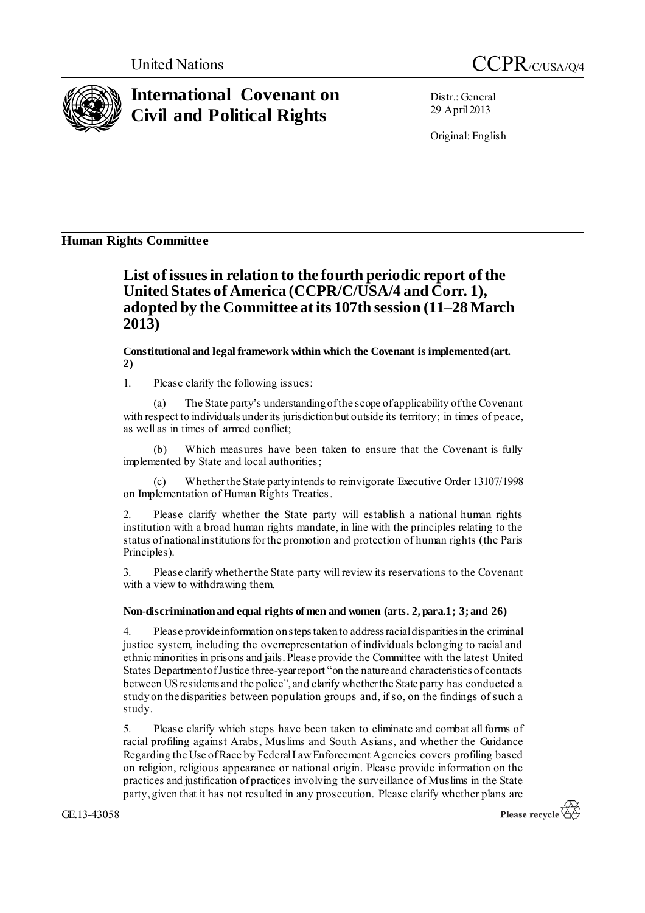



# **International Covenant on Civil and Political Rights**

Distr.: General 29 April2013

Original: English

## **Human Rights Committee**

# **List of issues in relation to the fourth periodic report of the United States of America (CCPR/C/USA/4 and Corr. 1), adopted by the Committee at its 107th session (11–28 March 2013)**

**Constitutional and legal framework within which the Covenant is implemented (art. 2)**

1. Please clarify the following issues:

(a) The State party's understanding of the scope of applicability of the Covenant with respect to individuals under its jurisdiction but outside its territory; in times of peace, as well as in times of armed conflict;

(b) Which measures have been taken to ensure that the Covenant is fully implemented by State and local authorities;

(c) Whether the State party intends to reinvigorate Executive Order 13107/1998 on Implementation of Human Rights Treaties.

2. Please clarify whether the State party will establish a national human rights institution with a broad human rights mandate, in line with the principles relating to the status of national institutions for the promotion and protection of human rights (the Paris Principles).

3. Please clarify whether the State party will review its reservations to the Covenant with a view to withdrawing them.

### **Non-discrimination and equal rights of men and women (arts. 2, para.1; 3; and 26)**

4. Please provide information on steps taken to address racial disparities in the criminal justice system, including the overrepresentation of individuals belonging to racial and ethnic minorities in prisons and jails. Please provide the Committee with the latest United States Department of Justice three-year report "on the nature and characteristics of contacts between US residents and the police", and clarify whether the State party has conducted a study on the disparities between population groups and, if so, on the findings of such a study.

5. Please clarify which steps have been taken to eliminate and combat all forms of racial profiling against Arabs, Muslims and South Asians, and whether the Guidance Regarding the Use of Race by Federal Law Enforcement Agencies covers profiling based on religion, religious appearance or national origin. Please provide information on the practices and justification of practices involving the surveillance of Muslims in the State party, given that it has not resulted in any prosecution. Please clarify whether plans are

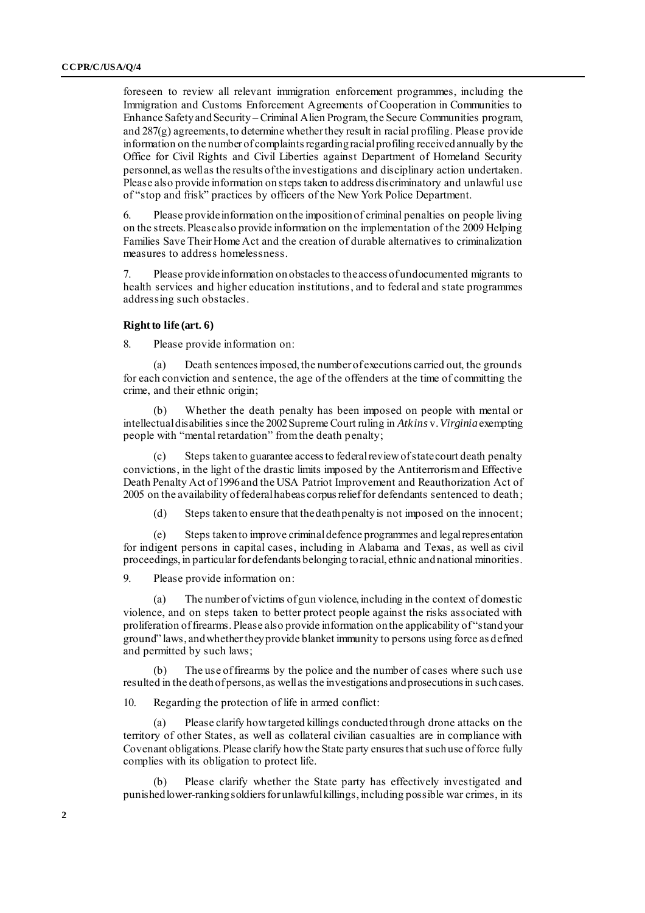foreseen to review all relevant immigration enforcement programmes, including the Immigration and Customs Enforcement Agreements of Cooperation in Communities to Enhance Safety and Security – Criminal Alien Program, the Secure Communities program, and 287(g) agreements, to determine whether they result in racial profiling. Please provide information on the number of complaints regarding racial profiling received annually by the Office for Civil Rights and Civil Liberties against Department of Homeland Security personnel, as well as the results of the investigations and disciplinary action undertaken. Please also provide information on steps taken to address discriminatory and unlawful use of "stop and frisk" practices by officers of the New York Police Department.

6. Please provide information on the imposition of criminal penalties on people living on the streets. Please also provide information on the implementation of the 2009 Helping Families Save Their Home Act and the creation of durable alternatives to criminalization measures to address homelessness.

7. Please provide information on obstacles to theaccess of undocumented migrants to health services and higher education institutions, and to federal and state programmes addressing such obstacles.

#### **Right to life (art. 6)**

8. Please provide information on:

(a) Death sentences imposed, the number of executions carried out, the grounds for each conviction and sentence, the age of the offenders at the time of committing the crime, and their ethnic origin;

Whether the death penalty has been imposed on people with mental or intellectual disabilities since the 2002 Supreme Court ruling in *Atkins* v.*Virginia*exempting people with "mental retardation" from the death penalty;

Steps taken to guarantee access to federal review of state court death penalty convictions, in the light of the drastic limits imposed by the Antiterrorism and Effective Death Penalty Act of 1996 and the USA Patriot Improvement and Reauthorization Act of 2005 on the availability of federal habeas corpus relief for defendants sentenced to death;

(d) Steps taken to ensure that the death penalty is not imposed on the innocent;

(e) Steps taken to improve criminal defence programmes and legal representation for indigent persons in capital cases, including in Alabama and Texas, as well as civil proceedings, in particular for defendants belonging to racial, ethnic and national minorities.

9. Please provide information on:

The number of victims of gun violence, including in the context of domestic violence, and on steps taken to better protect people against the risks associated with proliferation of firearms. Please also provide information on the applicability of "stand your ground" laws, and whether they provide blanket immunity to persons using force as defined and permitted by such laws;

(b) The use of firearms by the police and the number of cases where such use resulted in the death of persons, as well as the investigations and prosecutions in such cases.

10. Regarding the protection of life in armed conflict:

(a) Please clarify how targeted killings conducted through drone attacks on the territory of other States, as well as collateral civilian casualties are in compliance with Covenant obligations. Please clarify how the State party ensures that such use of force fully complies with its obligation to protect life.

Please clarify whether the State party has effectively investigated and punished lower-ranking soldiers for unlawful killings, including possible war crimes, in its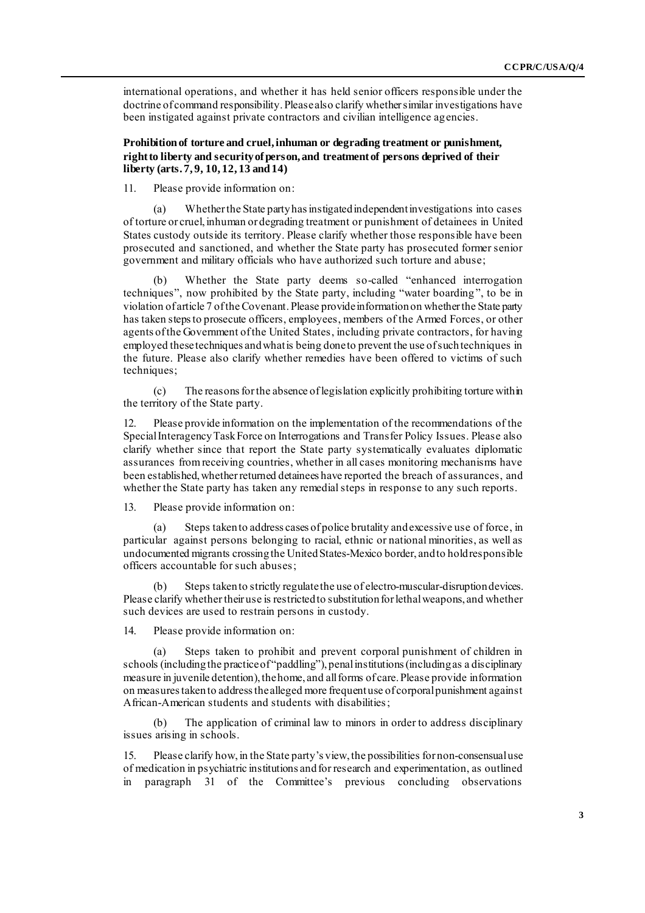international operations, and whether it has held senior officers responsible under the doctrine of command responsibility. Please also clarify whether similar investigations have been instigated against private contractors and civilian intelligence agencies.

**Prohibition of torture and cruel, inhuman or degrading treatment or punishment, right to liberty and security of person, and treatment of persons deprived of their liberty (arts. 7, 9, 10, 12, 13 and 14)** 

11. Please provide information on:

Whether the State party has instigated independent investigations into cases of torture or cruel, inhuman or degrading treatment or punishment of detainees in United States custody outside its territory. Please clarify whether those responsible have been prosecuted and sanctioned, and whether the State party has prosecuted former senior government and military officials who have authorized such torture and abuse;

(b) Whether the State party deems so-called "enhanced interrogation techniques", now prohibited by the State party, including "water boarding ", to be in violation of article 7 of the Covenant. Please provide information on whether the State party has taken steps to prosecute officers, employees, members of the Armed Forces, or other agents of the Government of the United States, including private contractors, for having employed these techniques and what is being done to prevent the use of such techniques in the future. Please also clarify whether remedies have been offered to victims of such techniques;

(c) The reasons for the absence oflegislation explicitly prohibiting torture within the territory of the State party.

12. Please provide information on the implementation of the recommendations of the Special Interagency Task Force on Interrogations and Transfer Policy Issues. Please also clarify whether since that report the State party systematically evaluates diplomatic assurances from receiving countries, whether in all cases monitoring mechanisms have been established, whether returned detainees have reported the breach of assurances, and whether the State party has taken any remedial steps in response to any such reports.

13. Please provide information on:

(a) Steps taken to address cases of police brutality and excessive use of force, in particular against persons belonging to racial, ethnic or national minorities, as well as undocumented migrants crossing the United States-Mexico border, and to hold responsible officers accountable for such abuses;

(b) Steps taken to strictly regulate the use of electro-muscular-disruption devices. Please clarify whether their use is restricted to substitution for lethal weapons, and whether such devices are used to restrain persons in custody.

14. Please provide information on:

(a) Steps taken to prohibit and prevent corporal punishment of children in schools (including the practice of "paddling"), penal institutions (including as a disciplinary measure in juvenile detention), the home, and all forms of care. Please provide information on measures taken to address the alleged more frequent use of corporal punishment against African-American students and students with disabilities;

(b) The application of criminal law to minors in order to address disciplinary issues arising in schools.

15. Please clarify how, in the State party's view, the possibilities for non-consensualuse of medication in psychiatric institutions and for research and experimentation, as outlined in paragraph 31 of the Committee's previous concluding observations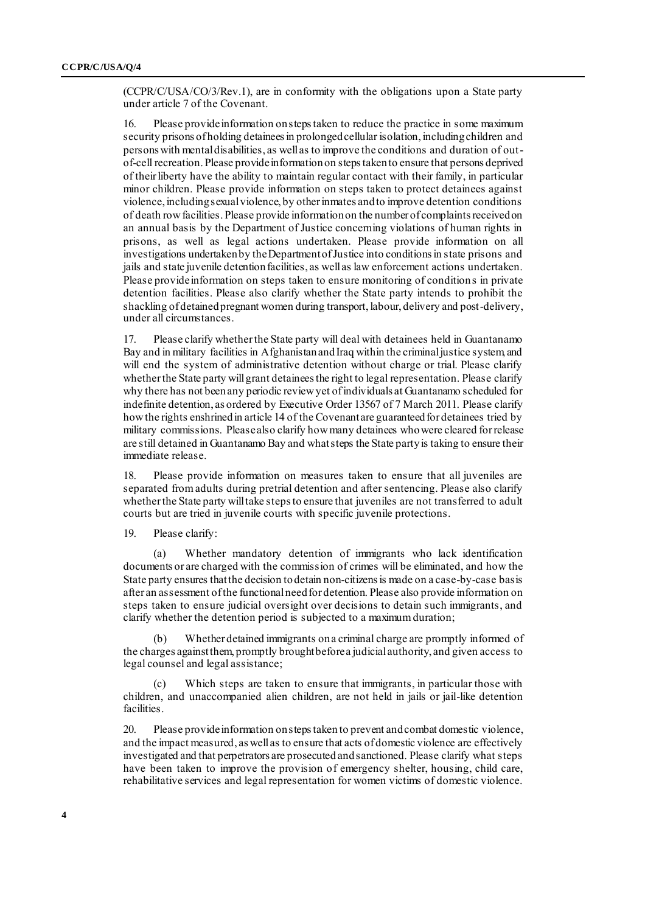(CCPR/C/USA/CO/3/Rev.1), are in conformity with the obligations upon a State party under article 7 of the Covenant.

16. Please provide information on steps taken to reduce the practice in some maximum security prisons of holding detainees in prolonged cellular isolation, including children and persons with mental disabilities, as well as to improve the conditions and duration of outof-cell recreation. Please provide information on steps taken to ensure that persons deprived of their liberty have the ability to maintain regular contact with their family, in particular minor children. Please provide information on steps taken to protect detainees against violence, including sexual violence, by other inmates and to improve detention conditions of death row facilities. Please provide information on the number of complaints received on an annual basis by the Department of Justice concerning violations of human rights in prisons, as well as legal actions undertaken. Please provide information on all investigations undertaken by the Department of Justice into conditions in state prisons and jails and state juvenile detention facilities, as well as law enforcement actions undertaken. Please provide information on steps taken to ensure monitoring of conditions in private detention facilities. Please also clarify whether the State party intends to prohibit the shackling of detained pregnant women during transport, labour, delivery and post-delivery, under all circumstances.

17. Please clarify whether the State party will deal with detainees held in Guantanamo Bay and in military facilities in Afghanistan and Iraq within the criminal justice system, and will end the system of administrative detention without charge or trial. Please clarify whether the State party will grant detainees the right to legal representation. Please clarify why there has not been any periodic review yet of individuals at Guantanamo scheduled for indefinite detention, as ordered by Executive Order 13567 of 7 March 2011. Please clarify howthe rights enshrined in article 14 of the Covenant are guaranteed for detainees tried by military commissions. Please also clarify how many detainees whowere cleared for release are still detained in Guantanamo Bay and whatsteps the State party is taking to ensure their immediate release.

18. Please provide information on measures taken to ensure that all juveniles are separated from adults during pretrial detention and after sentencing. Please also clarify whether the State party will take steps to ensure that juveniles are not transferred to adult courts but are tried in juvenile courts with specific juvenile protections.

19. Please clarify:

Whether mandatory detention of immigrants who lack identification documents or are charged with the commission of crimes will be eliminated, and how the State party ensures that the decision to detain non-citizens is made on a case-by-case basis after an assessment of the functional need for detention. Please also provide information on steps taken to ensure judicial oversight over decisions to detain such immigrants, and clarify whether the detention period is subjected to a maximum duration;

(b) Whether detained immigrants on a criminal charge are promptly informed of the charges against them, promptly brought before a judicial authority, and given access to legal counsel and legal assistance;

(c) Which steps are taken to ensure that immigrants, in particular those with children, and unaccompanied alien children, are not held in jails or jail-like detention facilities.

20. Please provide information on steps taken to prevent and combat domestic violence, and the impact measured, as well as to ensure that acts of domestic violence are effectively investigated and that perpetrators are prosecuted and sanctioned. Please clarify what steps have been taken to improve the provision of emergency shelter, housing, child care, rehabilitative services and legal representation for women victims of domestic violence.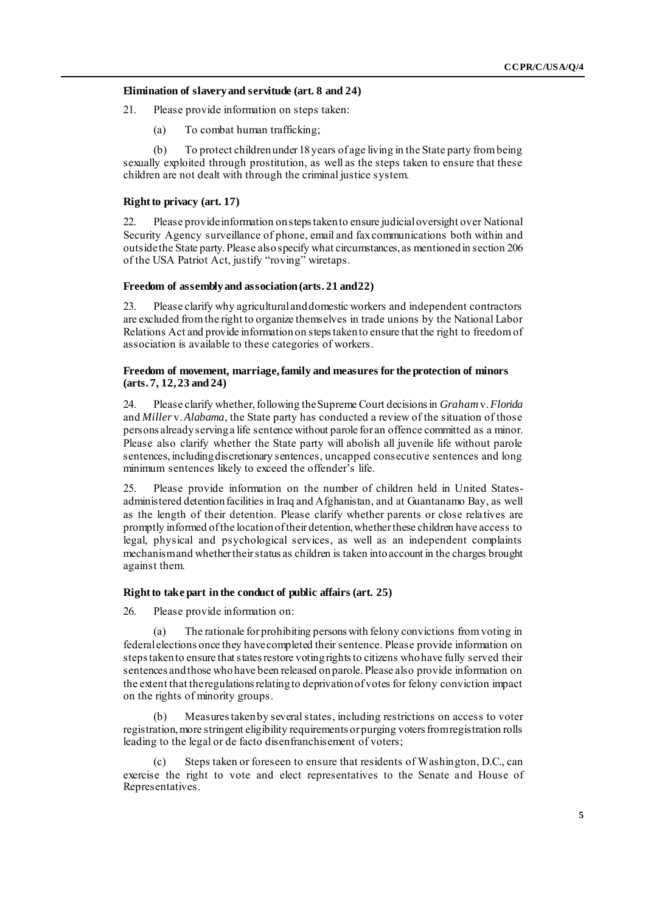#### **Elimination of slavery and servitude (art. 8 and 24)**

21. Please provide information on steps taken:

(a) To combat human trafficking;

(b) To protect children under 18 years of age living in the State party from being sexually exploited through prostitution, as well as the steps taken to ensure that these children are not dealt with through the criminal justice system.

#### **Right to privacy (art. 17)**

22. Please provide information on steps taken to ensure judicial oversight over National Security Agency surveillance of phone, email and fax communications both within and outside the State party.Please also specify what circumstances, as mentioned in section 206 of the USA Patriot Act, justify "roving" wiretaps.

#### **Freedom of assembly and association (arts. 21 and 22)**

23. Please clarify why agricultural and domestic workers and independent contractors are excluded from the right to organize themselves in trade unions by the National Labor Relations Act and provide information on steps taken to ensure that the right to freedom of association is available to these categories of workers.

#### **Freedom of movement, marriage, family and measures for the protection of minors (arts. 7, 12, 23 and 24)**

24. Please clarify whether, following the Supreme Court decisions in *Graham* v.*Florida*  and *Miller* v.*Alabama*, the State party has conducted a review of the situation of those persons already serving a life sentence without parole for an offence committed as a minor. Please also clarify whether the State party will abolish all juvenile life without parole sentences, including discretionary sentences, uncapped consecutive sentences and long minimum sentences likely to exceed the offender's life.

25. Please provide information on the number of children held in United Statesadministered detention facilities in Iraq and Afghanistan, and at Guantanamo Bay, as well as the length of their detention. Please clarify whether parents or close relatives are promptly informed of the location of their detention, whether these children have access to legal, physical and psychological services, as well as an independent complaints mechanism and whether their status as children is taken into account in the charges brought against them.

#### **Right to take part in the conduct of public affairs (art. 25)**

26. Please provide information on:

(a) The rationale for prohibiting persons with felony convictions from voting in federal elections once they have completed their sentence. Please provide information on steps taken to ensure that states restore voting rights to citizens who have fully served their sentences and those who have been released on parole. Please also provide information on the extent that the regulations relating to deprivation of votes for felony conviction impact on the rights of minority groups.

(b) Measures taken by several states, including restrictions on access to voter registration, more stringent eligibility requirements or purging voters from registration rolls leading to the legal or de facto disenfranchisement of voters;

(c) Steps taken or foreseen to ensure that residents of Washington, D.C., can exercise the right to vote and elect representatives to the Senate and House of Representatives.